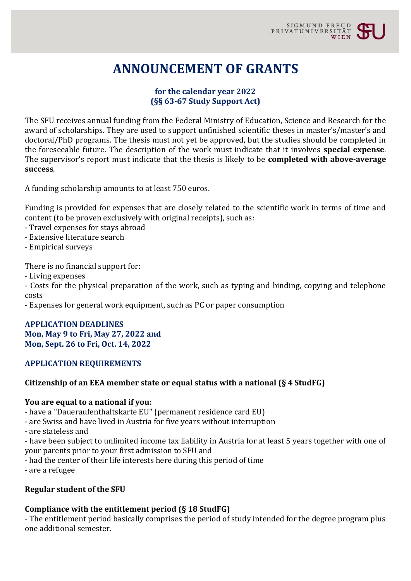# **ANNOUNCEMENT OF GRANTS**

## **for the calendar year 2022 (§§ 63-67 Study Support Act)**

The SFU receives annual funding from the Federal Ministry of Education, Science and Research for the award of scholarships. They are used to support unfinished scientific theses in master's/master's and doctoral/PhD programs. The thesis must not yet be approved, but the studies should be completed in the foreseeable future. The description of the work must indicate that it involves **special expense**. The supervisor's report must indicate that the thesis is likely to be **completed with above-average success**.

A funding scholarship amounts to at least 750 euros.

Funding is provided for expenses that are closely related to the scientific work in terms of time and content (to be proven exclusively with original receipts), such as:

- Travel expenses for stays abroad
- Extensive literature search
- Empirical surveys

There is no financial support for:

- Living expenses

- Costs for the physical preparation of the work, such as typing and binding, copying and telephone costs

- Expenses for general work equipment, such as PC or paper consumption

#### **APPLICATION DEADLINES Mon, May 9 to Fri, May 27, 2022 and Mon, Sept. 26 to Fri, Oct. 14, 2022**

#### **APPLICATION REQUIREMENTS**

#### **Citizenship of an EEA member state or equal status with a national (§ 4 StudFG)**

#### **You are equal to a national if you:**

- have a "Daueraufenthaltskarte EU" (permanent residence card EU)

- are Swiss and have lived in Austria for five years without interruption
- are stateless and

- have been subject to unlimited income tax liability in Austria for at least 5 years together with one of your parents prior to your first admission to SFU and

- had the center of their life interests here during this period of time
- are a refugee

#### **Regular student of the SFU**

#### **Compliance with the entitlement period (§ 18 StudFG)**

- The entitlement period basically comprises the period of study intended for the degree program plus one additional semester.